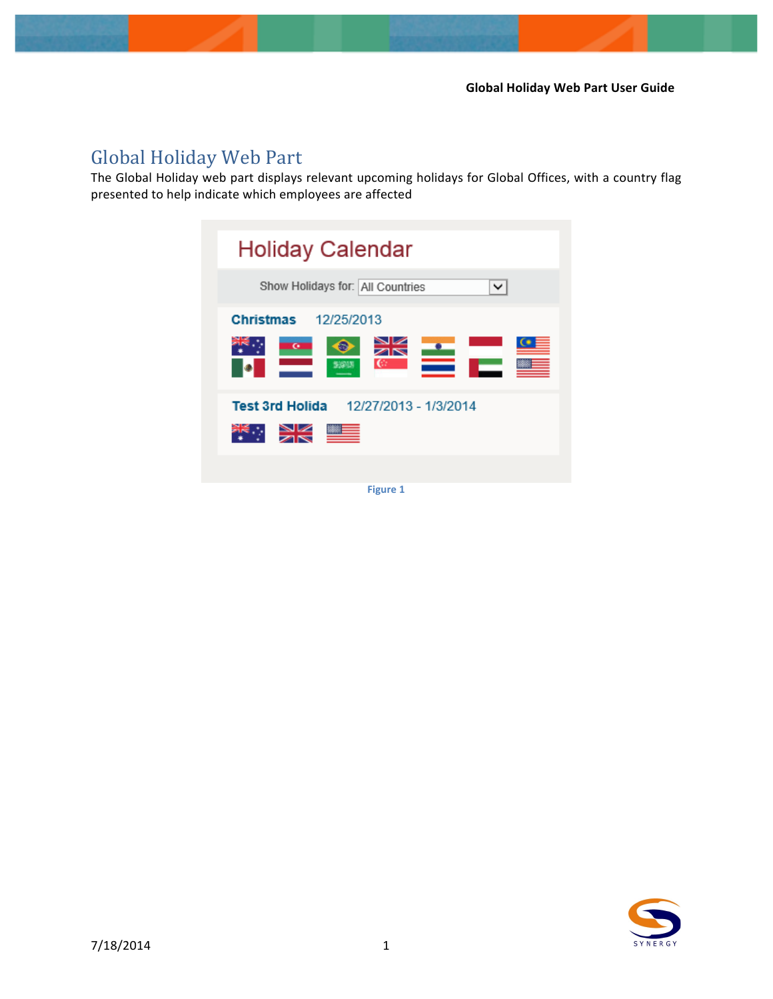# Global Holiday Web Part

The Global Holiday web part displays relevant upcoming holidays for Global Offices, with a country flag presented to help indicate which employees are affected

| <b>Holiday Calendar</b>                                              |  |  |  |  |  |
|----------------------------------------------------------------------|--|--|--|--|--|
| Show Holidays for: All Countries<br>◡                                |  |  |  |  |  |
| <b>Christmas</b> 12/25/2013<br>$\overline{\mathbf{C}}$<br>$\epsilon$ |  |  |  |  |  |
| Test 3rd Holida 12/27/2013 - 1/3/2014                                |  |  |  |  |  |
| <b>Figure 1</b>                                                      |  |  |  |  |  |

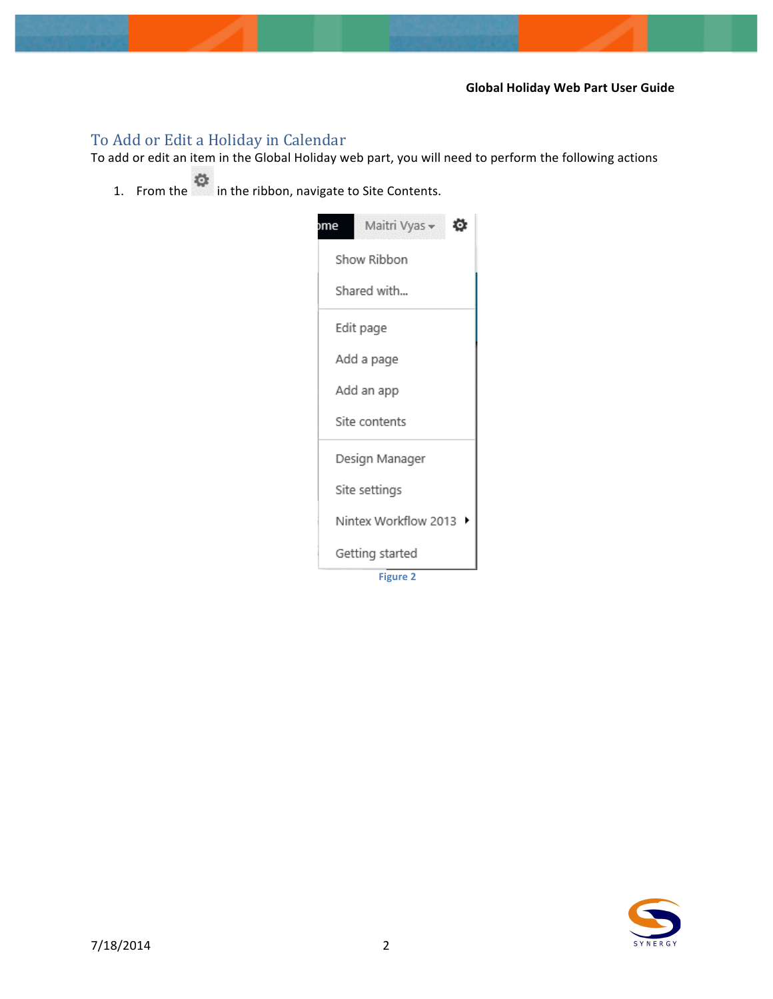### To Add or Edit a Holiday in Calendar

To add or edit an item in the Global Holiday web part, you will need to perform the following actions

1. From the **in** the ribbon, navigate to Site Contents.



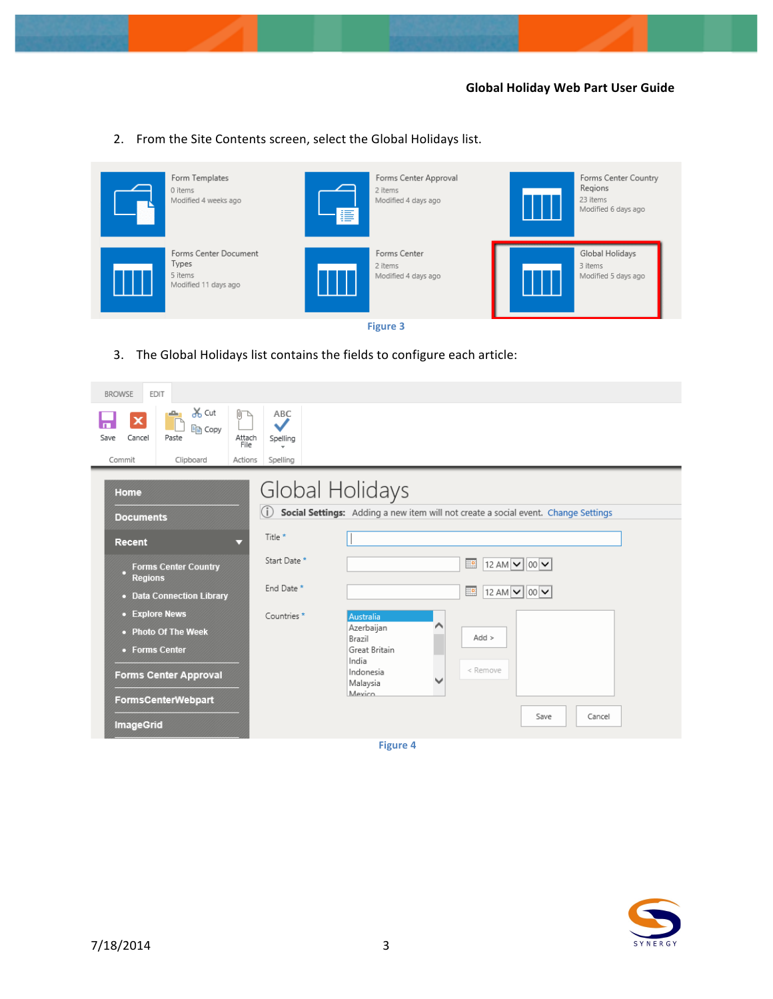2. From the Site Contents screen, select the Global Holidays list.



3. The Global Holidays list contains the fields to configure each article:

| <b>BROWSE</b><br>EDIT                                                                                                           |                                                                                                       |  |  |  |  |
|---------------------------------------------------------------------------------------------------------------------------------|-------------------------------------------------------------------------------------------------------|--|--|--|--|
| oo Cut<br>Ū٦<br>ويكو<br>$\mathbf x$<br>ling Copy<br>Cancel<br>Attach<br>Save<br>Paste<br>File<br>Clipboard<br>Actions<br>Commit | ABC<br>$\checkmark$<br>Spelling<br>Spelling                                                           |  |  |  |  |
| Home<br><b>Documents</b>                                                                                                        | Global Holidays<br>Social Settings: Adding a new item will not create a social event. Change Settings |  |  |  |  |
| <b>Recent</b><br>≂                                                                                                              | Title *                                                                                               |  |  |  |  |
| <b>Forms Center Country</b><br>о<br><b>Regions</b>                                                                              | Start Date *<br>12 AM $\sqrt{00}$ 00 $\sqrt{1}$<br>匷<br>End Date *                                    |  |  |  |  |
| • Data Connection Library<br>• Explore News                                                                                     | E<br>12 AM $\vee$ 00 $\vee$<br>Countries*<br>Australia                                                |  |  |  |  |
| • Photo Of The Week<br>• Forms Center                                                                                           | Azerbaijan<br>$Add$ ><br>Brazil<br>Great Britain<br>India                                             |  |  |  |  |
| <b>Forms Center Approval</b>                                                                                                    | < Remove<br>Indonesia<br>Malaysia<br>Mexico                                                           |  |  |  |  |
| <b>FormsCenterWebpart</b><br><b>ImageGrid</b>                                                                                   | Save<br>Cancel                                                                                        |  |  |  |  |
| <b>Figure 4</b>                                                                                                                 |                                                                                                       |  |  |  |  |

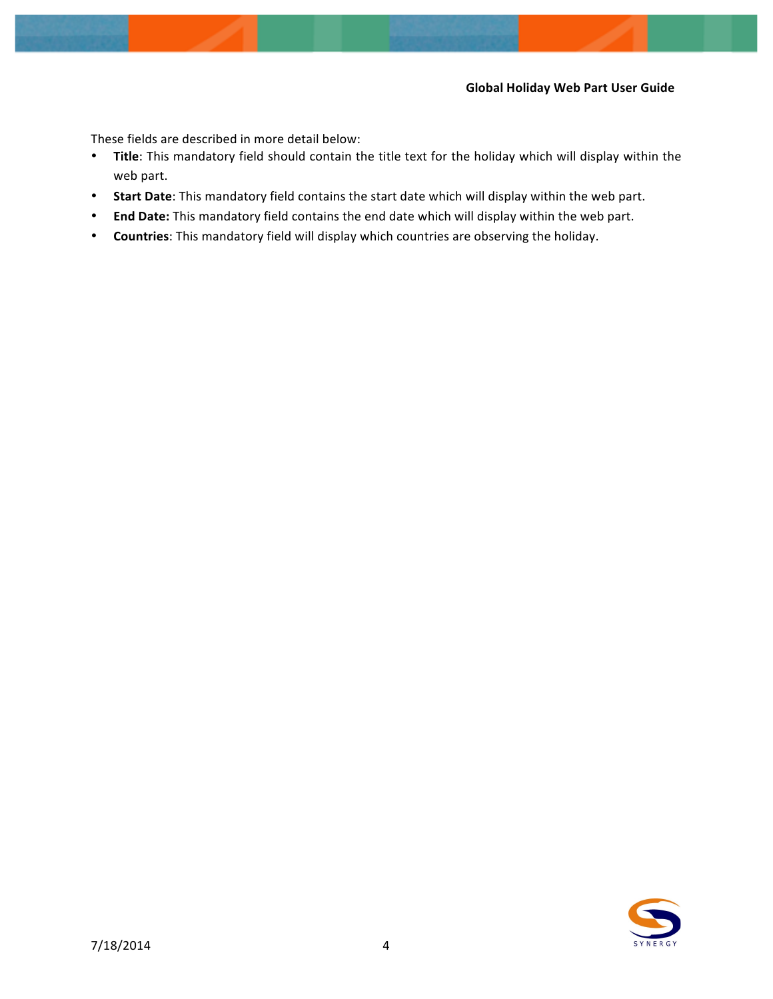These fields are described in more detail below:

- Title: This mandatory field should contain the title text for the holiday which will display within the web part.
- Start Date: This mandatory field contains the start date which will display within the web part.
- End Date: This mandatory field contains the end date which will display within the web part.
- Countries: This mandatory field will display which countries are observing the holiday.

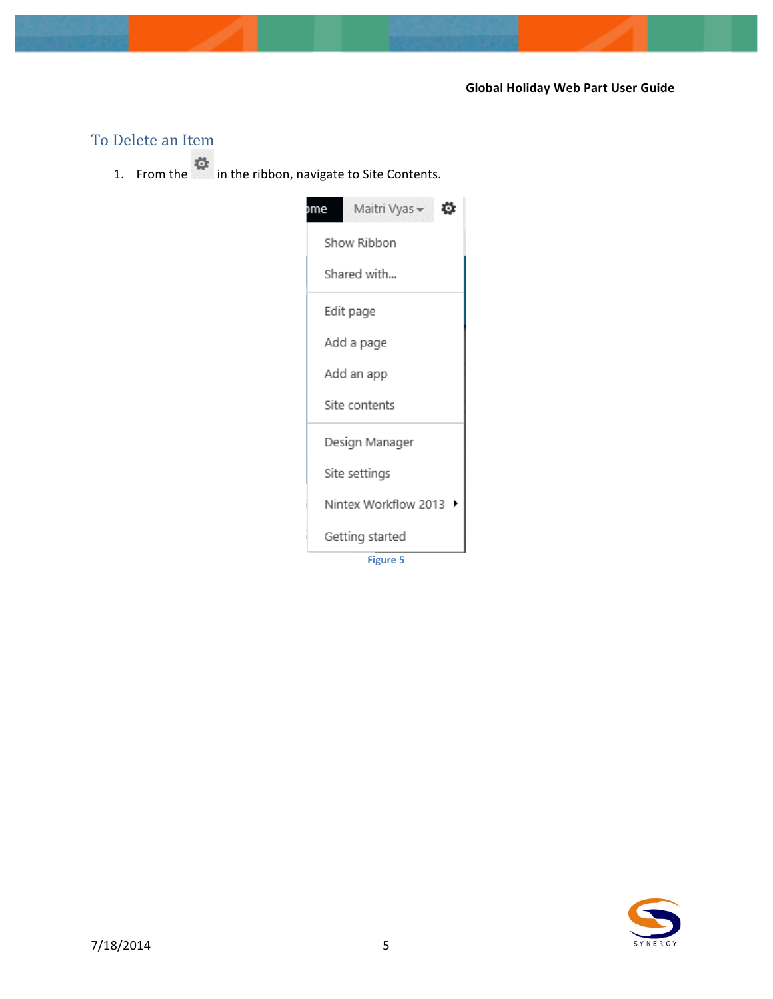## To Delete an Item

1. From the in the ribbon, navigate to Site Contents.



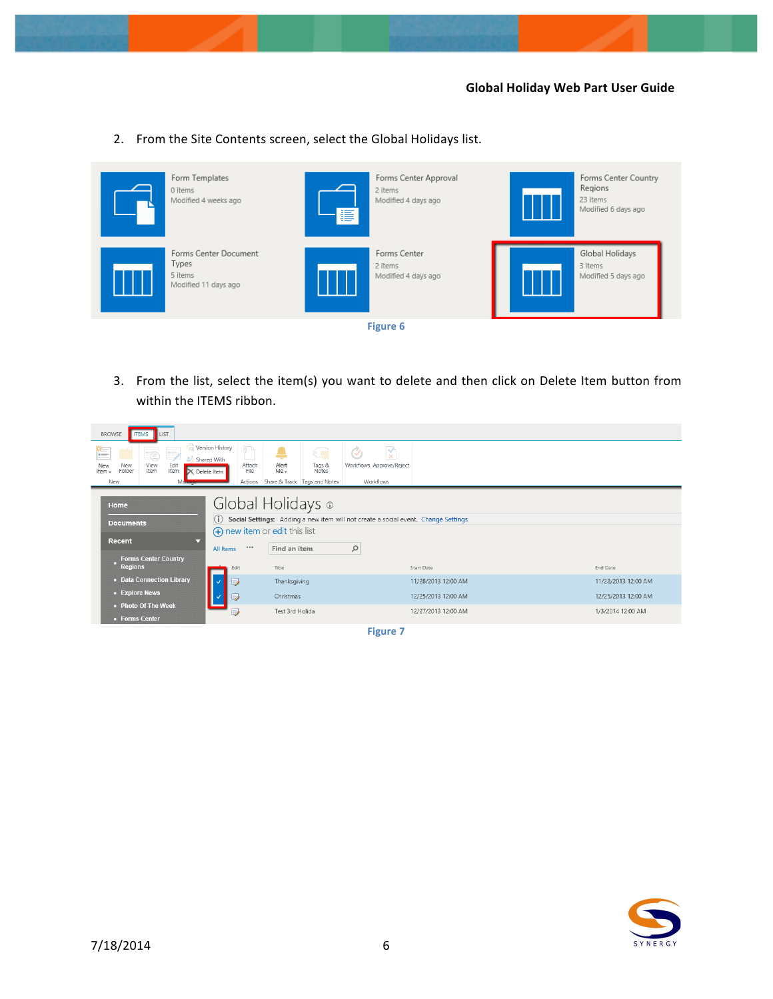- Forms Center Country Form Templates Forms Center Approval Regions 0 items 2 items Modified 4 weeks ago Modified 4 days ago 23 items Modified 6 days ago Global Holidays Forms Center Document Forms Center Types 2 items 3 items s<br>items<br>Modified 11 days ago Modified 4 days ago Modified 5 days ago **Figure 6**
- 2. From the Site Contents screen, select the Global Holidays list.

3. From the list, select the item(s) you want to delete and then click on Delete Item button from within the ITEMS ribbon.

| <b>BROWSE</b><br><b>ITEMS</b><br>LIST                                                                                                                    |                                                                              |                                                                         |                                                              |                     |  |
|----------------------------------------------------------------------------------------------------------------------------------------------------------|------------------------------------------------------------------------------|-------------------------------------------------------------------------|--------------------------------------------------------------|---------------------|--|
| 作<br>厚<br><u>is</u><br><b>A</b> <sup>2</sup> Shared With<br>Edit<br>Item<br>View<br>New<br>New<br>Folder<br>Item<br>Item -<br>X Delete Item<br>New<br>Ma | C Version History<br>0r<br>Attach<br>File<br>Actions                         | Œ<br>Alert<br>Tags &<br>Notes<br>$Me -$<br>Share & Track Tags and Notes | $\frac{1}{x}$<br>Q)<br>Workflows Approve/Reject<br>Workflows |                     |  |
| Global Holidays o<br>Home<br>⋒<br>Social Settings: Adding a new item will not create a social event. Change Settings<br><b>Documents</b>                 |                                                                              |                                                                         |                                                              |                     |  |
| Recent                                                                                                                                                   | (+) new item or edit this list<br>$\varphi$<br><br>Find an item<br>All Items |                                                                         |                                                              |                     |  |
| <b>Forms Center Country</b><br><b>Regions</b>                                                                                                            | Edit                                                                         | Title                                                                   | Start Date                                                   | End Date            |  |
| • Data Connection Library                                                                                                                                | $\Box$                                                                       | Thanksgiving                                                            | 11/28/2013 12:00 AM                                          | 11/28/2013 12:00 AM |  |
| • Explore News                                                                                                                                           | $\Box$                                                                       | Christmas                                                               | 12/25/2013 12:00 AM                                          | 12/25/2013 12:00 AM |  |
| • Photo Of The Week<br>• Forms Center                                                                                                                    | $\mathbb{Z}$                                                                 | Test 3rd Holida                                                         | 12/27/2013 12:00 AM                                          | 1/3/2014 12:00 AM   |  |

**Figure 7**